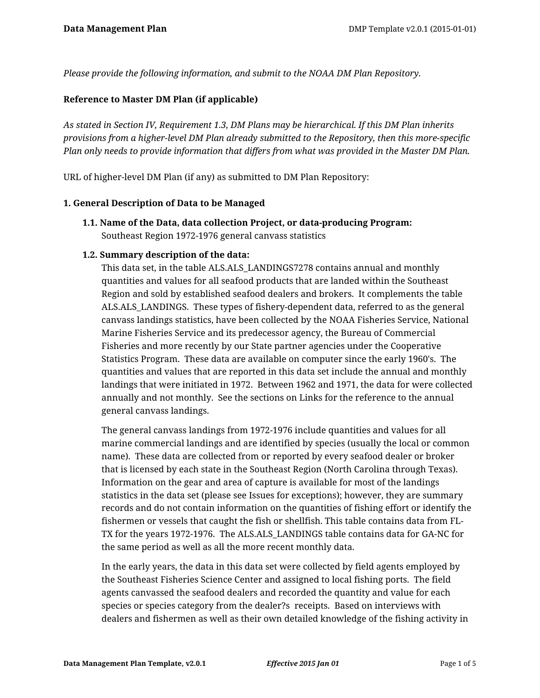*Please provide the following information, and submit to the NOAA DM Plan Repository.*

#### **Reference to Master DM Plan (if applicable)**

*As stated in Section IV, Requirement 1.3, DM Plans may be hierarchical. If this DM Plan inherits provisions from a higher-level DM Plan already submitted to the Repository, then this more-specific Plan only needs to provide information that differs from what was provided in the Master DM Plan.*

URL of higher-level DM Plan (if any) as submitted to DM Plan Repository:

#### **1. General Description of Data to be Managed**

**1.1. Name of the Data, data collection Project, or data-producing Program:** Southeast Region 1972-1976 general canvass statistics

#### **1.2. Summary description of the data:**

This data set, in the table ALS.ALS\_LANDINGS7278 contains annual and monthly quantities and values for all seafood products that are landed within the Southeast Region and sold by established seafood dealers and brokers. It complements the table ALS.ALS\_LANDINGS. These types of fishery-dependent data, referred to as the general canvass landings statistics, have been collected by the NOAA Fisheries Service, National Marine Fisheries Service and its predecessor agency, the Bureau of Commercial Fisheries and more recently by our State partner agencies under the Cooperative Statistics Program. These data are available on computer since the early 1960's. The quantities and values that are reported in this data set include the annual and monthly landings that were initiated in 1972. Between 1962 and 1971, the data for were collected annually and not monthly. See the sections on Links for the reference to the annual general canvass landings.

The general canvass landings from 1972-1976 include quantities and values for all marine commercial landings and are identified by species (usually the local or common name). These data are collected from or reported by every seafood dealer or broker that is licensed by each state in the Southeast Region (North Carolina through Texas). Information on the gear and area of capture is available for most of the landings statistics in the data set (please see Issues for exceptions); however, they are summary records and do not contain information on the quantities of fishing effort or identify the fishermen or vessels that caught the fish or shellfish. This table contains data from FL-TX for the years 1972-1976. The ALS.ALS\_LANDINGS table contains data for GA-NC for the same period as well as all the more recent monthly data.

In the early years, the data in this data set were collected by field agents employed by the Southeast Fisheries Science Center and assigned to local fishing ports. The field agents canvassed the seafood dealers and recorded the quantity and value for each species or species category from the dealer?s receipts. Based on interviews with dealers and fishermen as well as their own detailed knowledge of the fishing activity in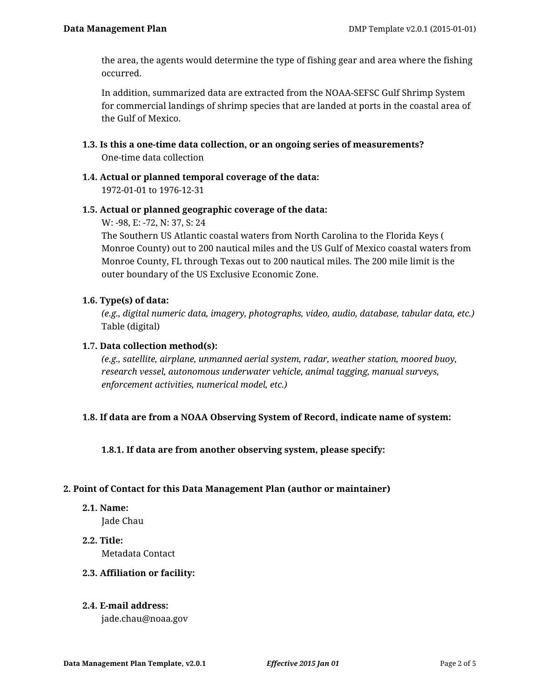the area, the agents would determine the type of fishing gear and area where the fishing occurred.

In addition, summarized data are extracted from the NOAA-SEFSC Gulf Shrimp System for commercial landings of shrimp species that are landed at ports in the coastal area of the Gulf of Mexico.

- **1.3. Is this a one-time data collection, or an ongoing series of measurements?** One-time data collection
- **1.4. Actual or planned temporal coverage of the data:** 1972-01-01 to 1976-12-31

## **1.5. Actual or planned geographic coverage of the data:**

W: -98, E: -72, N: 37, S: 24

The Southern US Atlantic coastal waters from North Carolina to the Florida Keys ( Monroe County) out to 200 nautical miles and the US Gulf of Mexico coastal waters from Monroe County, FL through Texas out to 200 nautical miles. The 200 mile limit is the outer boundary of the US Exclusive Economic Zone.

# **1.6. Type(s) of data:**

*(e.g., digital numeric data, imagery, photographs, video, audio, database, tabular data, etc.)* Table (digital)

# **1.7. Data collection method(s):**

*(e.g., satellite, airplane, unmanned aerial system, radar, weather station, moored buoy, research vessel, autonomous underwater vehicle, animal tagging, manual surveys, enforcement activities, numerical model, etc.)*

# **1.8. If data are from a NOAA Observing System of Record, indicate name of system:**

**1.8.1. If data are from another observing system, please specify:**

## **2. Point of Contact for this Data Management Plan (author or maintainer)**

**2.1. Name:**

Jade Chau

**2.2. Title:** Metadata Contact

## **2.3. Affiliation or facility:**

## **2.4. E-mail address:**

jade.chau@noaa.gov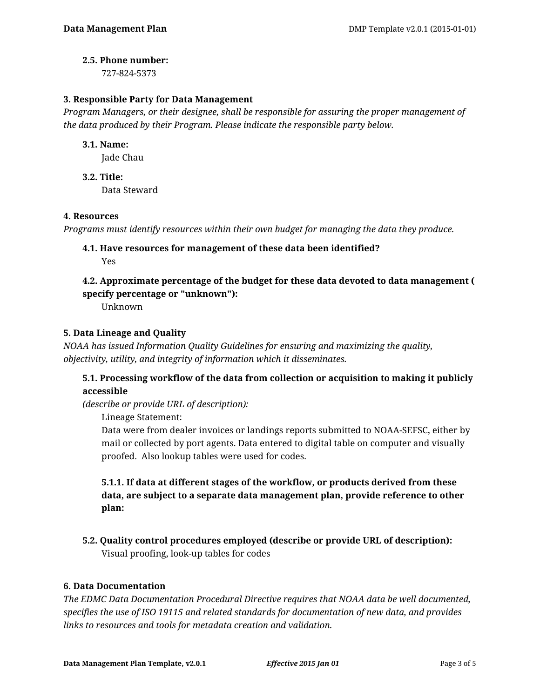#### **2.5. Phone number:**

727-824-5373

## **3. Responsible Party for Data Management**

*Program Managers, or their designee, shall be responsible for assuring the proper management of the data produced by their Program. Please indicate the responsible party below.*

## **3.1. Name:**

Jade Chau

**3.2. Title:** Data Steward

## **4. Resources**

*Programs must identify resources within their own budget for managing the data they produce.*

**4.1. Have resources for management of these data been identified?** Yes

# **4.2. Approximate percentage of the budget for these data devoted to data management ( specify percentage or "unknown"):**

Unknown

## **5. Data Lineage and Quality**

*NOAA has issued Information Quality Guidelines for ensuring and maximizing the quality, objectivity, utility, and integrity of information which it disseminates.*

# **5.1. Processing workflow of the data from collection or acquisition to making it publicly accessible**

*(describe or provide URL of description):*

Lineage Statement:

Data were from dealer invoices or landings reports submitted to NOAA-SEFSC, either by mail or collected by port agents. Data entered to digital table on computer and visually proofed. Also lookup tables were used for codes.

**5.1.1. If data at different stages of the workflow, or products derived from these data, are subject to a separate data management plan, provide reference to other plan:**

**5.2. Quality control procedures employed (describe or provide URL of description):** Visual proofing, look-up tables for codes

## **6. Data Documentation**

*The EDMC Data Documentation Procedural Directive requires that NOAA data be well documented, specifies the use of ISO 19115 and related standards for documentation of new data, and provides links to resources and tools for metadata creation and validation.*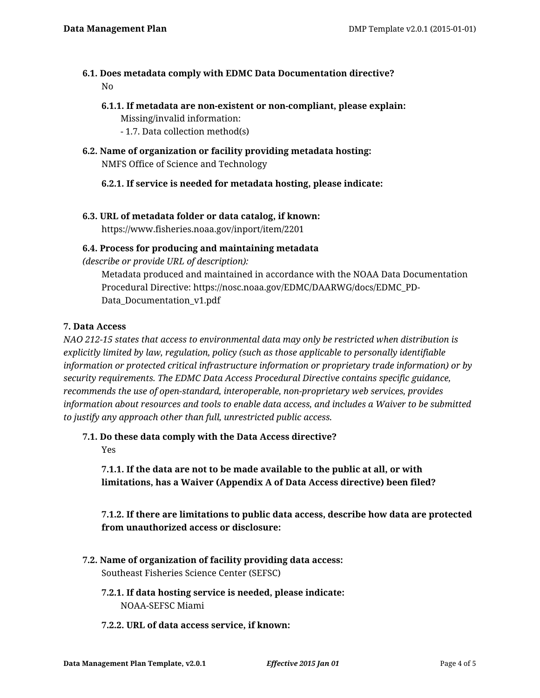# **6.1. Does metadata comply with EDMC Data Documentation directive?** No

- **6.1.1. If metadata are non-existent or non-compliant, please explain:** Missing/invalid information:
	- 1.7. Data collection method(s)
- **6.2. Name of organization or facility providing metadata hosting:** NMFS Office of Science and Technology

# **6.2.1. If service is needed for metadata hosting, please indicate:**

**6.3. URL of metadata folder or data catalog, if known:** https://www.fisheries.noaa.gov/inport/item/2201

## **6.4. Process for producing and maintaining metadata**

*(describe or provide URL of description):*

Metadata produced and maintained in accordance with the NOAA Data Documentation Procedural Directive: https://nosc.noaa.gov/EDMC/DAARWG/docs/EDMC\_PD-Data\_Documentation\_v1.pdf

#### **7. Data Access**

*NAO 212-15 states that access to environmental data may only be restricted when distribution is explicitly limited by law, regulation, policy (such as those applicable to personally identifiable information or protected critical infrastructure information or proprietary trade information) or by security requirements. The EDMC Data Access Procedural Directive contains specific guidance, recommends the use of open-standard, interoperable, non-proprietary web services, provides information about resources and tools to enable data access, and includes a Waiver to be submitted to justify any approach other than full, unrestricted public access.*

**7.1. Do these data comply with the Data Access directive?**

Yes

**7.1.1. If the data are not to be made available to the public at all, or with limitations, has a Waiver (Appendix A of Data Access directive) been filed?**

**7.1.2. If there are limitations to public data access, describe how data are protected from unauthorized access or disclosure:**

- **7.2. Name of organization of facility providing data access:** Southeast Fisheries Science Center (SEFSC)
	- **7.2.1. If data hosting service is needed, please indicate:** NOAA-SEFSC Miami
	- **7.2.2. URL of data access service, if known:**